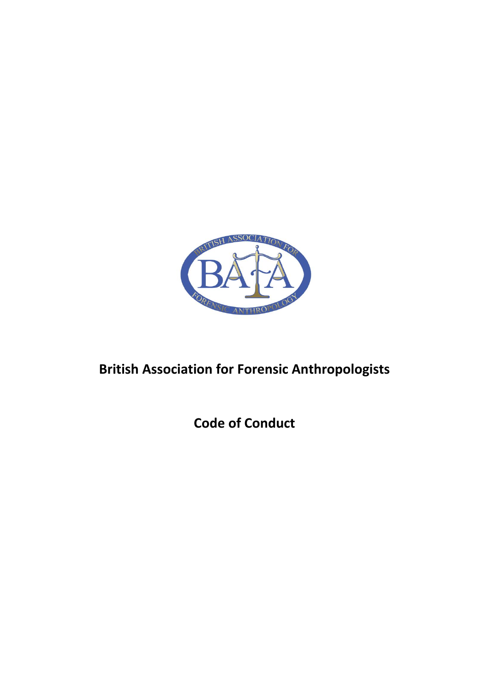

## **British Association for Forensic Anthropologists**

**Code of Conduct**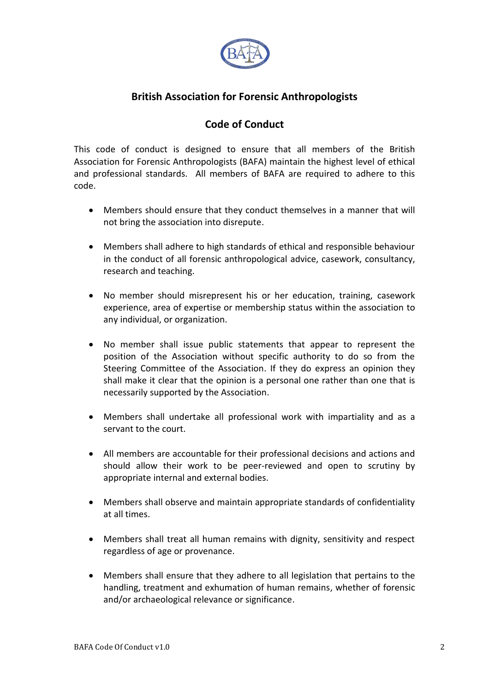

## **British Association for Forensic Anthropologists**

## **Code of Conduct**

This code of conduct is designed to ensure that all members of the British Association for Forensic Anthropologists (BAFA) maintain the highest level of ethical and professional standards. All members of BAFA are required to adhere to this code.

- Members should ensure that they conduct themselves in a manner that will not bring the association into disrepute.
- Members shall adhere to high standards of ethical and responsible behaviour in the conduct of all forensic anthropological advice, casework, consultancy, research and teaching.
- No member should misrepresent his or her education, training, casework experience, area of expertise or membership status within the association to any individual, or organization.
- No member shall issue public statements that appear to represent the position of the Association without specific authority to do so from the Steering Committee of the Association. If they do express an opinion they shall make it clear that the opinion is a personal one rather than one that is necessarily supported by the Association.
- Members shall undertake all professional work with impartiality and as a servant to the court.
- All members are accountable for their professional decisions and actions and should allow their work to be peer-reviewed and open to scrutiny by appropriate internal and external bodies.
- Members shall observe and maintain appropriate standards of confidentiality at all times.
- Members shall treat all human remains with dignity, sensitivity and respect regardless of age or provenance.
- Members shall ensure that they adhere to all legislation that pertains to the handling, treatment and exhumation of human remains, whether of forensic and/or archaeological relevance or significance.